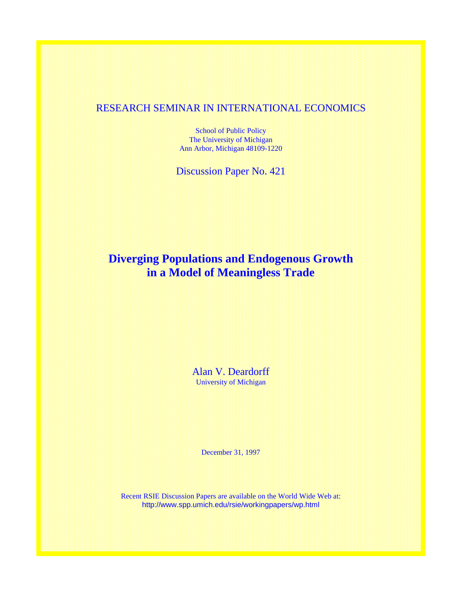## RESEARCH SEMINAR IN INTERNATIONAL ECONOMICS

School of Public Policy The University of Michigan Ann Arbor, Michigan 48109-1220

Discussion Paper No. 421

# **Diverging Populations and Endogenous Growth in a Model of Meaningless Trade**

Alan V. Deardorff University of Michigan

December 31, 1997

Recent RSIE Discussion Papers are available on the World Wide Web at: http://www.spp.umich.edu/rsie/workingpapers/wp.html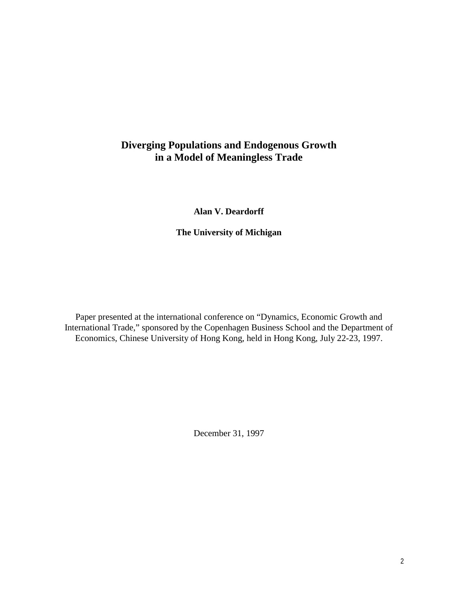## **Diverging Populations and Endogenous Growth in a Model of Meaningless Trade**

### **Alan V. Deardorff**

**The University of Michigan**

Paper presented at the international conference on "Dynamics, Economic Growth and International Trade," sponsored by the Copenhagen Business School and the Department of Economics, Chinese University of Hong Kong, held in Hong Kong, July 22-23, 1997.

December 31, 1997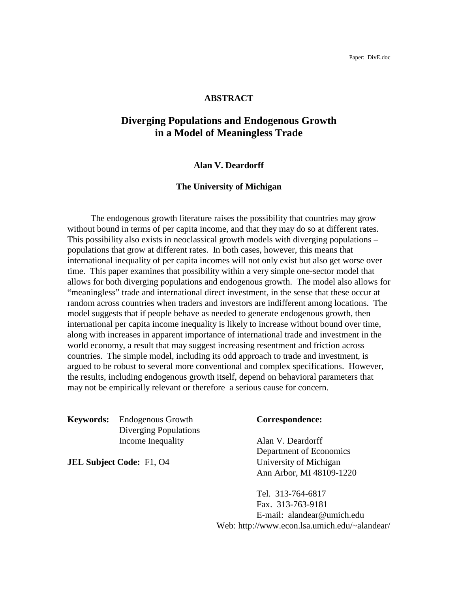#### **ABSTRACT**

## **Diverging Populations and Endogenous Growth in a Model of Meaningless Trade**

#### **Alan V. Deardorff**

#### **The University of Michigan**

The endogenous growth literature raises the possibility that countries may grow without bound in terms of per capita income, and that they may do so at different rates. This possibility also exists in neoclassical growth models with diverging populations – populations that grow at different rates. In both cases, however, this means that international inequality of per capita incomes will not only exist but also get worse over time. This paper examines that possibility within a very simple one-sector model that allows for both diverging populations and endogenous growth. The model also allows for "meaningless" trade and international direct investment, in the sense that these occur at random across countries when traders and investors are indifferent among locations. The model suggests that if people behave as needed to generate endogenous growth, then international per capita income inequality is likely to increase without bound over time, along with increases in apparent importance of international trade and investment in the world economy, a result that may suggest increasing resentment and friction across countries. The simple model, including its odd approach to trade and investment, is argued to be robust to several more conventional and complex specifications. However, the results, including endogenous growth itself, depend on behavioral parameters that may not be empirically relevant or therefore a serious cause for concern.

**Keywords:** Endogenous Growth **Correspondence:** Diverging Populations Income Inequality Alan V. Deardorff

**JEL Subject Code:** F1, O4 University of Michigan

Department of Economics Ann Arbor, MI 48109-1220

Tel. 313-764-6817 Fax. 313-763-9181 E-mail: alandear@umich.edu Web: http://www.econ.lsa.umich.edu/~alandear/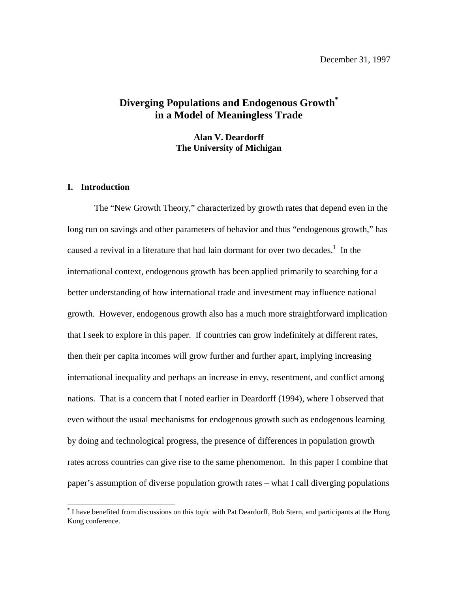## **Diverging Populations and Endogenous Growth\* in a Model of Meaningless Trade**

**Alan V. Deardorff The University of Michigan**

#### **I. Introduction**

 $\overline{a}$ 

The "New Growth Theory," characterized by growth rates that depend even in the long run on savings and other parameters of behavior and thus "endogenous growth," has caused a revival in a literature that had lain dormant for over two decades.<sup>1</sup> In the international context, endogenous growth has been applied primarily to searching for a better understanding of how international trade and investment may influence national growth. However, endogenous growth also has a much more straightforward implication that I seek to explore in this paper. If countries can grow indefinitely at different rates, then their per capita incomes will grow further and further apart, implying increasing international inequality and perhaps an increase in envy, resentment, and conflict among nations. That is a concern that I noted earlier in Deardorff (1994), where I observed that even without the usual mechanisms for endogenous growth such as endogenous learning by doing and technological progress, the presence of differences in population growth rates across countries can give rise to the same phenomenon. In this paper I combine that paper's assumption of diverse population growth rates – what I call diverging populations

<sup>\*</sup> I have benefited from discussions on this topic with Pat Deardorff, Bob Stern, and participants at the Hong Kong conference.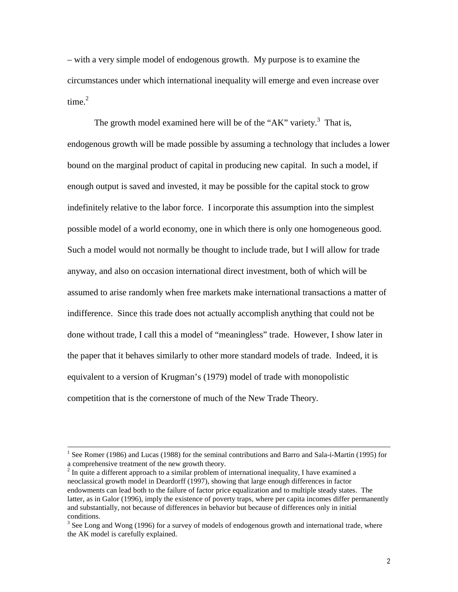– with a very simple model of endogenous growth. My purpose is to examine the circumstances under which international inequality will emerge and even increase over time $^2$ 

The growth model examined here will be of the "AK" variety. $3$  That is, endogenous growth will be made possible by assuming a technology that includes a lower bound on the marginal product of capital in producing new capital. In such a model, if enough output is saved and invested, it may be possible for the capital stock to grow indefinitely relative to the labor force. I incorporate this assumption into the simplest possible model of a world economy, one in which there is only one homogeneous good. Such a model would not normally be thought to include trade, but I will allow for trade anyway, and also on occasion international direct investment, both of which will be assumed to arise randomly when free markets make international transactions a matter of indifference. Since this trade does not actually accomplish anything that could not be done without trade, I call this a model of "meaningless" trade. However, I show later in the paper that it behaves similarly to other more standard models of trade. Indeed, it is equivalent to a version of Krugman's (1979) model of trade with monopolistic competition that is the cornerstone of much of the New Trade Theory.

<sup>|&</sup>lt;br>|<br>| <sup>1</sup> See Romer (1986) and Lucas (1988) for the seminal contributions and Barro and Sala-i-Martin (1995) for a comprehensive treatment of the new growth theory.

 $2^{2}$  In quite a different approach to a similar problem of international inequality, I have examined a neoclassical growth model in Deardorff (1997), showing that large enough differences in factor endowments can lead both to the failure of factor price equalization and to multiple steady states. The latter, as in Galor (1996), imply the existence of poverty traps, where per capita incomes differ permanently and substantially, not because of differences in behavior but because of differences only in initial conditions.

 $3$  See Long and Wong (1996) for a survey of models of endogenous growth and international trade, where the AK model is carefully explained.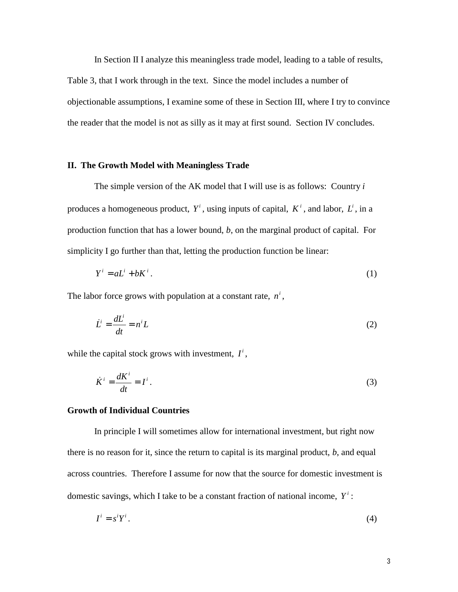In Section II I analyze this meaningless trade model, leading to a table of results, Table 3, that I work through in the text. Since the model includes a number of objectionable assumptions, I examine some of these in Section III, where I try to convince the reader that the model is not as silly as it may at first sound. Section IV concludes.

#### **II. The Growth Model with Meaningless Trade**

The simple version of the AK model that I will use is as follows: Country *i* produces a homogeneous product,  $Y^i$ , using inputs of capital,  $K^i$ , and labor,  $L^i$ , in a production function that has a lower bound, *b*, on the marginal product of capital. For simplicity I go further than that, letting the production function be linear:

$$
Y^i = aL^i + bK^i. \tag{1}
$$

The labor force grows with population at a constant rate, *n<sup>i</sup>* ,

$$
\dot{L}^i = \frac{dL^i}{dt} = n^i L \tag{2}
$$

while the capital stock grows with investment,  $I^i$ ,

$$
\dot{K}^i = \frac{dK^i}{dt} = I^i.
$$
\n(3)

#### **Growth of Individual Countries**

In principle I will sometimes allow for international investment, but right now there is no reason for it, since the return to capital is its marginal product, *b*, and equal across countries. Therefore I assume for now that the source for domestic investment is domestic savings, which I take to be a constant fraction of national income, *Y <sup>i</sup>* :

$$
I^i = s^i Y^i. \tag{4}
$$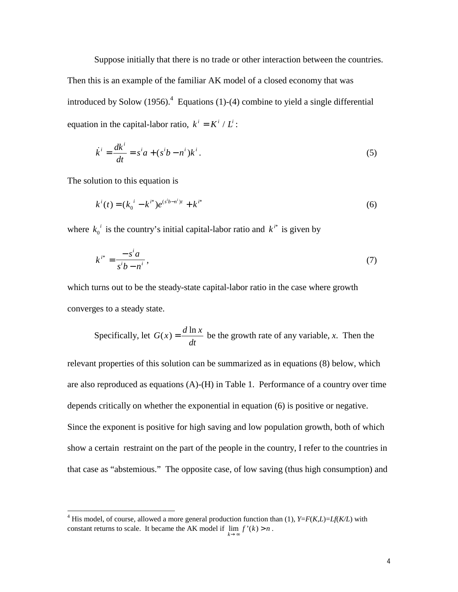Suppose initially that there is no trade or other interaction between the countries. Then this is an example of the familiar AK model of a closed economy that was introduced by Solow (1956).<sup>4</sup> Equations (1)-(4) combine to yield a single differential equation in the capital-labor ratio,  $k^{i} = K^{i} / L^{i}$ :

$$
\dot{k}^{i} = \frac{dk^{i}}{dt} = s^{i}a + (s^{i}b - n^{i})k^{i}.
$$
 (5)

The solution to this equation is

$$
k^{i}(t) = (k_{0}^{i} - k^{i^{*}})e^{(s^{i}b - n^{i})t} + k^{i^{*}}
$$
\n(6)

where  $k_0^i$  is the country's initial capital-labor ratio and  $k^i$  is given by

$$
k^{i^*} = \frac{-s^i a}{s^i b - n^i},\tag{7}
$$

which turns out to be the steady-state capital-labor ratio in the case where growth converges to a steady state.

Specifically, let  $G(x) = \frac{d \ln x}{dt}$  be the growth rate of any variable, *x*. Then the

relevant properties of this solution can be summarized as in equations (8) below, which are also reproduced as equations  $(A)$ - $(H)$  in Table 1. Performance of a country over time depends critically on whether the exponential in equation (6) is positive or negative. Since the exponent is positive for high saving and low population growth, both of which show a certain restraint on the part of the people in the country, I refer to the countries in that case as "abstemious." The opposite case, of low saving (thus high consumption) and

 4 His model, of course, allowed a more general production function than (1), *Y*=*F*(*K*,*L*)=*Lf*(*K/L*) with constant returns to scale. It became the AK model if  $\lim_{k \to \infty} f'(k) > n$ .  $k \rightarrow \infty$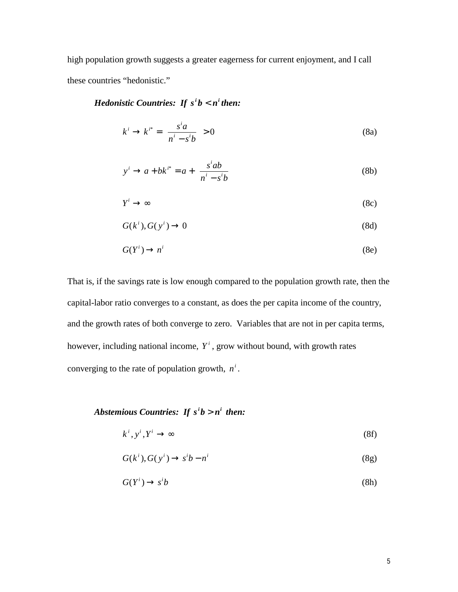high population growth suggests a greater eagerness for current enjoyment, and I call these countries "hedonistic."

*Hedonistic Countries: If*  $s^i b < n^i$  *then:* 

$$
k^i \to k^{i^*} = \left(\frac{s^i a}{n^i - s^i b}\right) > 0\tag{8a}
$$

$$
y^{i} \to a + bk^{i*} = a + \left(\frac{s^{i}ab}{n^{i} - s^{i}b}\right)
$$
 (8b)

$$
Y^i \to \infty \tag{8c}
$$

$$
G(k^i), G(\mathbf{y}^i) \to 0 \tag{8d}
$$

$$
G(Y^i) \to n^i \tag{8e}
$$

That is, if the savings rate is low enough compared to the population growth rate, then the capital-labor ratio converges to a constant, as does the per capita income of the country, and the growth rates of both converge to zero. Variables that are not in per capita terms, however, including national income, Y<sup>*i*</sup>, grow without bound, with growth rates converging to the rate of population growth, *n<sup>i</sup>* .

## *Abstemious Countries: If*  $s^i b > n^i$  *then:*

$$
k^i, y^i, Y^i \to \infty \tag{8f}
$$

$$
G(ki), G(yi) \to sib - ni
$$
 (8g)

$$
G(Y^i) \to s^i b \tag{8h}
$$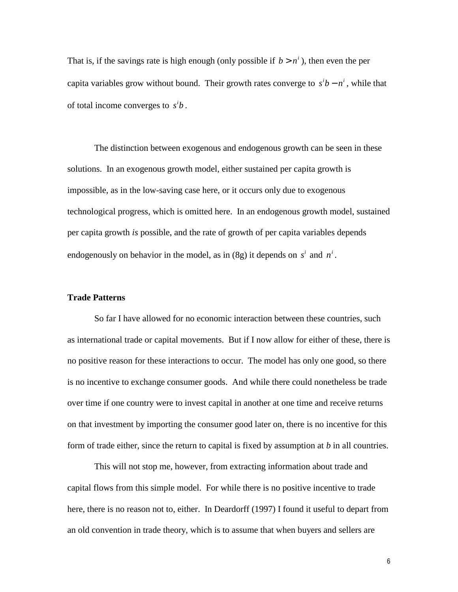That is, if the savings rate is high enough (only possible if  $b > n<sup>i</sup>$ ), then even the per capita variables grow without bound. Their growth rates converge to  $s^{i}b - n^{i}$ , while that of total income converges to  $s^i b$ .

The distinction between exogenous and endogenous growth can be seen in these solutions. In an exogenous growth model, either sustained per capita growth is impossible, as in the low-saving case here, or it occurs only due to exogenous technological progress, which is omitted here. In an endogenous growth model, sustained per capita growth *is* possible, and the rate of growth of per capita variables depends endogenously on behavior in the model, as in (8g) it depends on  $s^i$  and  $n^i$ .

#### **Trade Patterns**

So far I have allowed for no economic interaction between these countries, such as international trade or capital movements. But if I now allow for either of these, there is no positive reason for these interactions to occur. The model has only one good, so there is no incentive to exchange consumer goods. And while there could nonetheless be trade over time if one country were to invest capital in another at one time and receive returns on that investment by importing the consumer good later on, there is no incentive for this form of trade either, since the return to capital is fixed by assumption at *b* in all countries.

This will not stop me, however, from extracting information about trade and capital flows from this simple model. For while there is no positive incentive to trade here, there is no reason not to, either. In Deardorff (1997) I found it useful to depart from an old convention in trade theory, which is to assume that when buyers and sellers are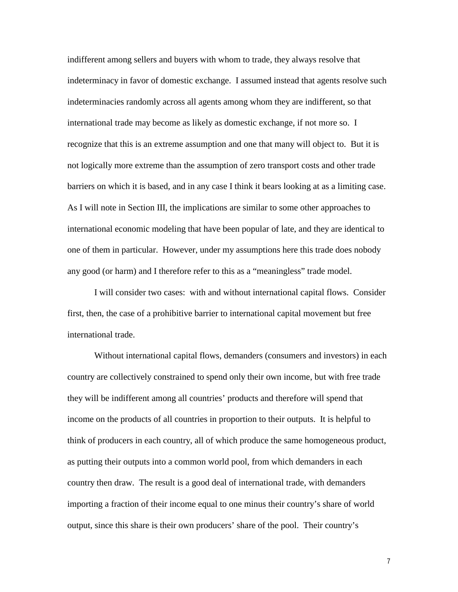indifferent among sellers and buyers with whom to trade, they always resolve that indeterminacy in favor of domestic exchange. I assumed instead that agents resolve such indeterminacies randomly across all agents among whom they are indifferent, so that international trade may become as likely as domestic exchange, if not more so. I recognize that this is an extreme assumption and one that many will object to. But it is not logically more extreme than the assumption of zero transport costs and other trade barriers on which it is based, and in any case I think it bears looking at as a limiting case. As I will note in Section III, the implications are similar to some other approaches to international economic modeling that have been popular of late, and they are identical to one of them in particular. However, under my assumptions here this trade does nobody any good (or harm) and I therefore refer to this as a "meaningless" trade model.

I will consider two cases: with and without international capital flows. Consider first, then, the case of a prohibitive barrier to international capital movement but free international trade.

Without international capital flows, demanders (consumers and investors) in each country are collectively constrained to spend only their own income, but with free trade they will be indifferent among all countries' products and therefore will spend that income on the products of all countries in proportion to their outputs. It is helpful to think of producers in each country, all of which produce the same homogeneous product, as putting their outputs into a common world pool, from which demanders in each country then draw. The result is a good deal of international trade, with demanders importing a fraction of their income equal to one minus their country's share of world output, since this share is their own producers' share of the pool. Their country's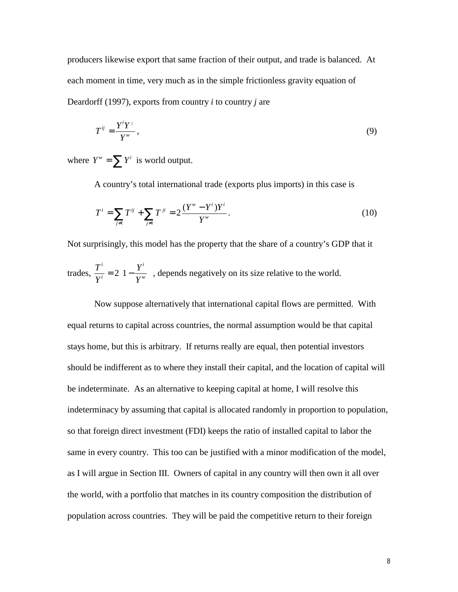producers likewise export that same fraction of their output, and trade is balanced. At each moment in time, very much as in the simple frictionless gravity equation of Deardorff (1997), exports from country *i* to country *j* are

$$
T^{ij} = \frac{Y^i Y^j}{Y^w},\tag{9}
$$

where  $Y^w = \sum Y^i$  is world output.

A country's total international trade (exports plus imports) in this case is

$$
T^{i} = \sum_{j \neq i} T^{ij} + \sum_{j \neq i} T^{ji} = 2 \frac{(Y^{w} - Y^{i})Y^{i}}{Y^{w}}.
$$
 (10)

Not surprisingly, this model has the property that the share of a country's GDP that it

trades, 
$$
\frac{T^i}{Y^i} = 2\left(1 - \frac{Y^i}{Y^w}\right)
$$
, depends negatively on its size relative to the world.

Now suppose alternatively that international capital flows are permitted. With equal returns to capital across countries, the normal assumption would be that capital stays home, but this is arbitrary. If returns really are equal, then potential investors should be indifferent as to where they install their capital, and the location of capital will be indeterminate. As an alternative to keeping capital at home, I will resolve this indeterminacy by assuming that capital is allocated randomly in proportion to population, so that foreign direct investment (FDI) keeps the ratio of installed capital to labor the same in every country. This too can be justified with a minor modification of the model, as I will argue in Section III. Owners of capital in any country will then own it all over the world, with a portfolio that matches in its country composition the distribution of population across countries. They will be paid the competitive return to their foreign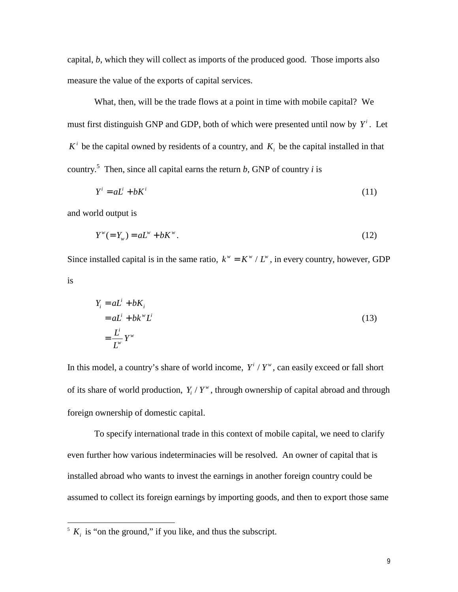capital, *b*, which they will collect as imports of the produced good. Those imports also measure the value of the exports of capital services.

What, then, will be the trade flows at a point in time with mobile capital? We must first distinguish GNP and GDP, both of which were presented until now by *Y<sup>i</sup>* . Let  $K^i$  be the capital owned by residents of a country, and  $K_i$  be the capital installed in that country.<sup>5</sup> Then, since all capital earns the return  $b$ , GNP of country  $i$  is

$$
Y^i = aL^i + bK^i \tag{11}
$$

and world output is

 $\overline{a}$ 

$$
Y^w (= Y_w) = aL^w + bK^w.
$$
\n(12)

Since installed capital is in the same ratio,  $k^w = K^w / L^w$ , in every country, however, GDP is

$$
Y_i = aL^i + bK_i
$$
  
=  $aL^i + bk^w L^i$   
=  $\frac{L^i}{L^w} Y^w$  (13)

In this model, a country's share of world income,  $Y^i/Y^w$ , can easily exceed or fall short of its share of world production,  $Y_i / Y^w$ , through ownership of capital abroad and through foreign ownership of domestic capital.

To specify international trade in this context of mobile capital, we need to clarify even further how various indeterminacies will be resolved. An owner of capital that is installed abroad who wants to invest the earnings in another foreign country could be assumed to collect its foreign earnings by importing goods, and then to export those same

 $<sup>5</sup>$   $K<sub>i</sub>$  is "on the ground," if you like, and thus the subscript.</sup>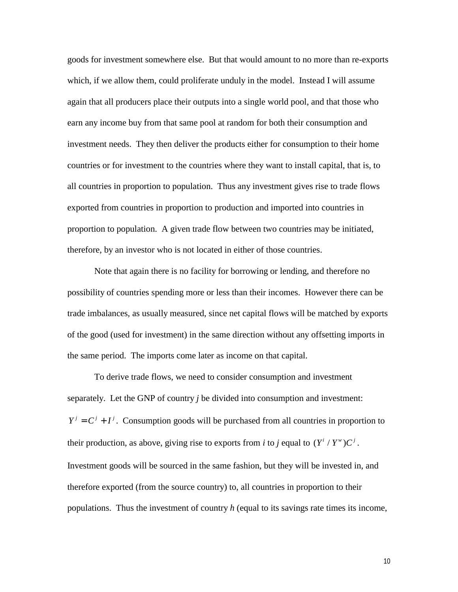goods for investment somewhere else. But that would amount to no more than re-exports which, if we allow them, could proliferate unduly in the model. Instead I will assume again that all producers place their outputs into a single world pool, and that those who earn any income buy from that same pool at random for both their consumption and investment needs. They then deliver the products either for consumption to their home countries or for investment to the countries where they want to install capital, that is, to all countries in proportion to population. Thus any investment gives rise to trade flows exported from countries in proportion to production and imported into countries in proportion to population. A given trade flow between two countries may be initiated, therefore, by an investor who is not located in either of those countries.

Note that again there is no facility for borrowing or lending, and therefore no possibility of countries spending more or less than their incomes. However there can be trade imbalances, as usually measured, since net capital flows will be matched by exports of the good (used for investment) in the same direction without any offsetting imports in the same period. The imports come later as income on that capital.

To derive trade flows, we need to consider consumption and investment separately. Let the GNP of country *j* be divided into consumption and investment:  $Y^{j} = C^{j} + I^{j}$ . Consumption goods will be purchased from all countries in proportion to their production, as above, giving rise to exports from *i* to *j* equal to  $(Y^{i} / Y^{w})C^{j}$ . Investment goods will be sourced in the same fashion, but they will be invested in, and therefore exported (from the source country) to, all countries in proportion to their populations. Thus the investment of country *h* (equal to its savings rate times its income,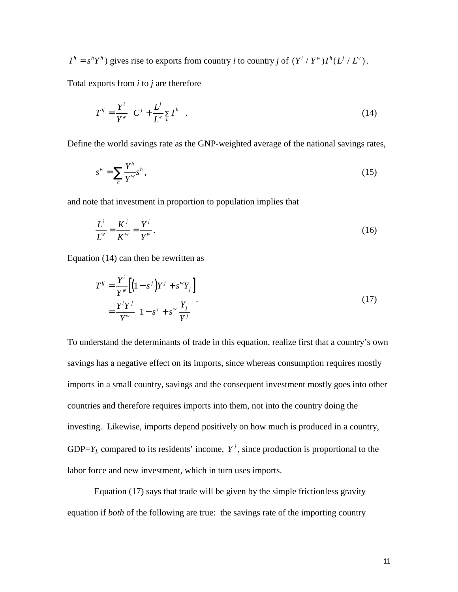$I^h = s^h Y^h$ ) gives rise to exports from country *i* to country *j* of  $(Y^i / Y^w)I^h(L^j / L^w)$ .

Total exports from *i* to *j* are therefore

$$
T^{ij} = \frac{Y^i}{Y^w} \left( C^j + \frac{L^j}{L^w} \sum_{h=1}^{N} I^h \right). \tag{14}
$$

Define the world savings rate as the GNP-weighted average of the national savings rates,

$$
s^w = \sum_h \frac{Y^h}{Y^w} s^h,\tag{15}
$$

and note that investment in proportion to population implies that

$$
\frac{L^j}{L^w} = \frac{K^j}{K^w} = \frac{Y^j}{Y^w}.
$$
\n(16)

Equation (14) can then be rewritten as

$$
T^{ij} = \frac{Y^i}{Y^w} \Big[ \Big(1 - s^j \Big) Y^j + s^w Y_j \Big]
$$
  
= 
$$
\frac{Y^i Y^j}{Y^w} \Big( 1 - s^j + s^w \frac{Y_j}{Y^j} \Big)
$$
 (17)

To understand the determinants of trade in this equation, realize first that a country's own savings has a negative effect on its imports, since whereas consumption requires mostly imports in a small country, savings and the consequent investment mostly goes into other countries and therefore requires imports into them, not into the country doing the investing. Likewise, imports depend positively on how much is produced in a country, GDP= $Y_j$ , compared to its residents' income,  $Y^j$ , since production is proportional to the labor force and new investment, which in turn uses imports.

Equation (17) says that trade will be given by the simple frictionless gravity equation if *both* of the following are true: the savings rate of the importing country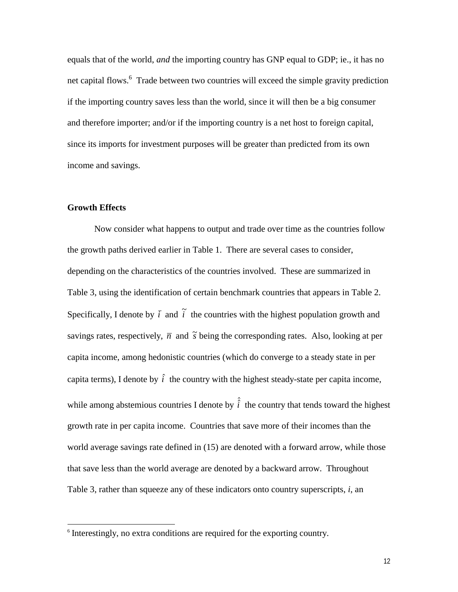equals that of the world, *and* the importing country has GNP equal to GDP; ie., it has no net capital flows.<sup>6</sup> Trade between two countries will exceed the simple gravity prediction if the importing country saves less than the world, since it will then be a big consumer and therefore importer; and/or if the importing country is a net host to foreign capital, since its imports for investment purposes will be greater than predicted from its own income and savings.

#### **Growth Effects**

 $\overline{a}$ 

Now consider what happens to output and trade over time as the countries follow the growth paths derived earlier in Table 1. There are several cases to consider, depending on the characteristics of the countries involved. These are summarized in Table 3, using the identification of certain benchmark countries that appears in Table 2. Specifically, I denote by  $\vec{i}$  and  $\vec{i}$  the countries with the highest population growth and savings rates, respectively,  $\overline{n}$  and  $\tilde{s}$  being the corresponding rates. Also, looking at per capita income, among hedonistic countries (which do converge to a steady state in per capita terms), I denote by  $\hat{i}$  the country with the highest steady-state per capita income, while among abstemious countries I denote by  $\hat{i}$  the country that tends toward the highest growth rate in per capita income. Countries that save more of their incomes than the world average savings rate defined in (15) are denoted with a forward arrow, while those that save less than the world average are denoted by a backward arrow. Throughout Table 3, rather than squeeze any of these indicators onto country superscripts, *i*, an

<sup>&</sup>lt;sup>6</sup> Interestingly, no extra conditions are required for the exporting country.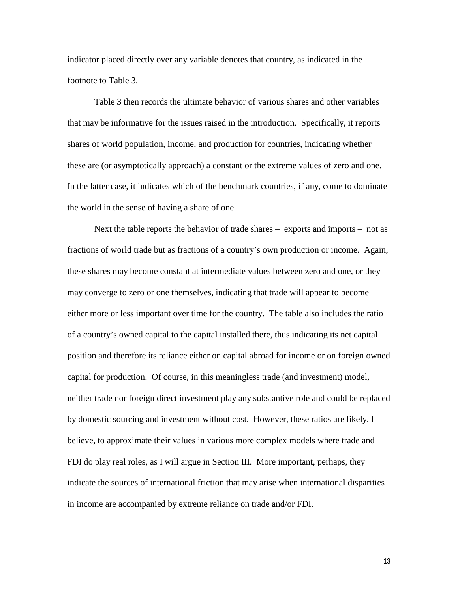indicator placed directly over any variable denotes that country, as indicated in the footnote to Table 3.

Table 3 then records the ultimate behavior of various shares and other variables that may be informative for the issues raised in the introduction. Specifically, it reports shares of world population, income, and production for countries, indicating whether these are (or asymptotically approach) a constant or the extreme values of zero and one. In the latter case, it indicates which of the benchmark countries, if any, come to dominate the world in the sense of having a share of one.

Next the table reports the behavior of trade shares – exports and imports – not as fractions of world trade but as fractions of a country's own production or income. Again, these shares may become constant at intermediate values between zero and one, or they may converge to zero or one themselves, indicating that trade will appear to become either more or less important over time for the country. The table also includes the ratio of a country's owned capital to the capital installed there, thus indicating its net capital position and therefore its reliance either on capital abroad for income or on foreign owned capital for production. Of course, in this meaningless trade (and investment) model, neither trade nor foreign direct investment play any substantive role and could be replaced by domestic sourcing and investment without cost. However, these ratios are likely, I believe, to approximate their values in various more complex models where trade and FDI do play real roles, as I will argue in Section III. More important, perhaps, they indicate the sources of international friction that may arise when international disparities in income are accompanied by extreme reliance on trade and/or FDI.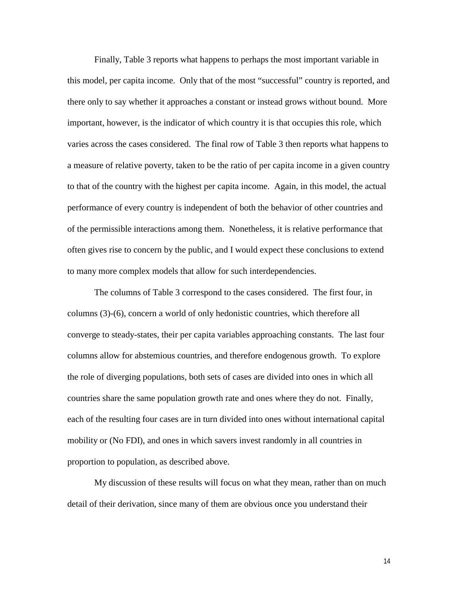Finally, Table 3 reports what happens to perhaps the most important variable in this model, per capita income. Only that of the most "successful" country is reported, and there only to say whether it approaches a constant or instead grows without bound. More important, however, is the indicator of which country it is that occupies this role, which varies across the cases considered. The final row of Table 3 then reports what happens to a measure of relative poverty, taken to be the ratio of per capita income in a given country to that of the country with the highest per capita income. Again, in this model, the actual performance of every country is independent of both the behavior of other countries and of the permissible interactions among them. Nonetheless, it is relative performance that often gives rise to concern by the public, and I would expect these conclusions to extend to many more complex models that allow for such interdependencies.

The columns of Table 3 correspond to the cases considered. The first four, in columns (3)-(6), concern a world of only hedonistic countries, which therefore all converge to steady-states, their per capita variables approaching constants. The last four columns allow for abstemious countries, and therefore endogenous growth. To explore the role of diverging populations, both sets of cases are divided into ones in which all countries share the same population growth rate and ones where they do not. Finally, each of the resulting four cases are in turn divided into ones without international capital mobility or (No FDI), and ones in which savers invest randomly in all countries in proportion to population, as described above.

My discussion of these results will focus on what they mean, rather than on much detail of their derivation, since many of them are obvious once you understand their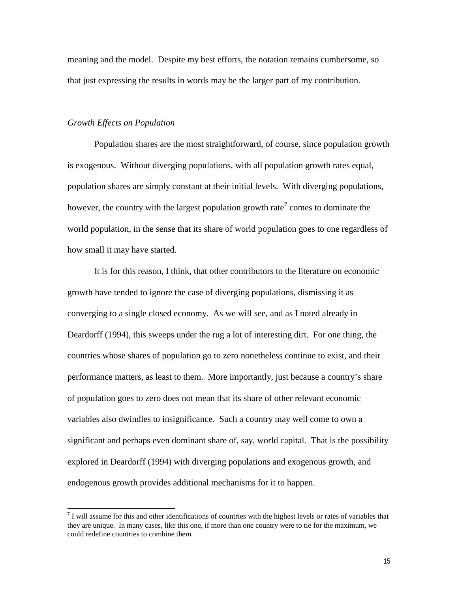meaning and the model. Despite my best efforts, the notation remains cumbersome, so that just expressing the results in words may be the larger part of my contribution.

#### *Growth Effects on Population*

 $\overline{a}$ 

Population shares are the most straightforward, of course, since population growth is exogenous. Without diverging populations, with all population growth rates equal, population shares are simply constant at their initial levels. With diverging populations, however, the country with the largest population growth rate<sup>7</sup> comes to dominate the world population, in the sense that its share of world population goes to one regardless of how small it may have started.

It is for this reason, I think, that other contributors to the literature on economic growth have tended to ignore the case of diverging populations, dismissing it as converging to a single closed economy. As we will see, and as I noted already in Deardorff (1994), this sweeps under the rug a lot of interesting dirt. For one thing, the countries whose shares of population go to zero nonetheless continue to exist, and their performance matters, as least to them. More importantly, just because a country's share of population goes to zero does not mean that its share of other relevant economic variables also dwindles to insignificance. Such a country may well come to own a significant and perhaps even dominant share of, say, world capital. That is the possibility explored in Deardorff (1994) with diverging populations and exogenous growth, and endogenous growth provides additional mechanisms for it to happen.

 $<sup>7</sup>$  I will assume for this and other identifications of countries with the highest levels or rates of variables that</sup> they are unique. In many cases, like this one, if more than one country were to tie for the maximum, we could redefine countries to combine them.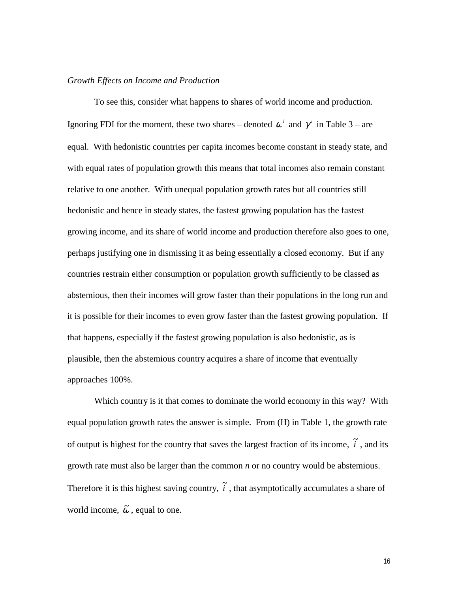#### *Growth Effects on Income and Production*

To see this, consider what happens to shares of world income and production. Ignoring FDI for the moment, these two shares – denoted  $\omega^i$  and  $\gamma^i$  in Table 3 – are equal. With hedonistic countries per capita incomes become constant in steady state, and with equal rates of population growth this means that total incomes also remain constant relative to one another. With unequal population growth rates but all countries still hedonistic and hence in steady states, the fastest growing population has the fastest growing income, and its share of world income and production therefore also goes to one, perhaps justifying one in dismissing it as being essentially a closed economy. But if any countries restrain either consumption or population growth sufficiently to be classed as abstemious, then their incomes will grow faster than their populations in the long run and it is possible for their incomes to even grow faster than the fastest growing population. If that happens, especially if the fastest growing population is also hedonistic, as is plausible, then the abstemious country acquires a share of income that eventually approaches 100%.

Which country is it that comes to dominate the world economy in this way? With equal population growth rates the answer is simple. From (H) in Table 1, the growth rate of output is highest for the country that saves the largest fraction of its income,  $\tilde{i}$ , and its growth rate must also be larger than the common *n* or no country would be abstemious. Therefore it is this highest saving country,  $\tilde{i}$  , that asymptotically accumulates a share of world income,  $\tilde{\omega}$  , equal to one.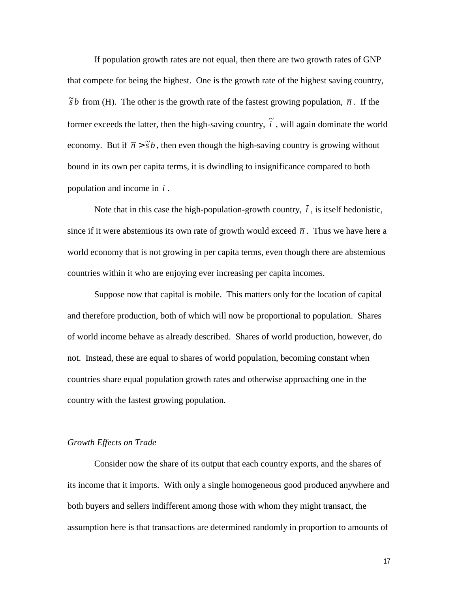If population growth rates are not equal, then there are two growth rates of GNP that compete for being the highest. One is the growth rate of the highest saving country,  $\tilde{s}$ *b* from (H). The other is the growth rate of the fastest growing population,  $\bar{n}$ . If the former exceeds the latter, then the high-saving country,  $\tilde{i}$  , will again dominate the world economy. But if  $\bar{n} > \tilde{s}b$ , then even though the high-saving country is growing without bound in its own per capita terms, it is dwindling to insignificance compared to both population and income in  $\overline{i}$ .

Note that in this case the high-population-growth country,  $\bar{i}$ , is itself hedonistic, since if it were abstemious its own rate of growth would exceed  $\bar{n}$ . Thus we have here a world economy that is not growing in per capita terms, even though there are abstemious countries within it who are enjoying ever increasing per capita incomes.

Suppose now that capital is mobile. This matters only for the location of capital and therefore production, both of which will now be proportional to population. Shares of world income behave as already described. Shares of world production, however, do not. Instead, these are equal to shares of world population, becoming constant when countries share equal population growth rates and otherwise approaching one in the country with the fastest growing population.

#### *Growth Effects on Trade*

Consider now the share of its output that each country exports, and the shares of its income that it imports. With only a single homogeneous good produced anywhere and both buyers and sellers indifferent among those with whom they might transact, the assumption here is that transactions are determined randomly in proportion to amounts of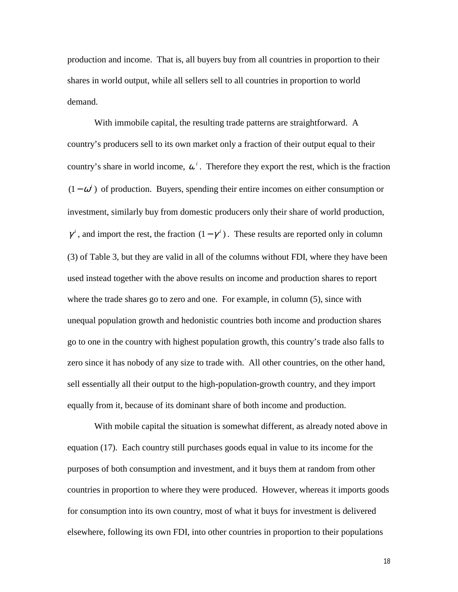production and income. That is, all buyers buy from all countries in proportion to their shares in world output, while all sellers sell to all countries in proportion to world demand.

With immobile capital, the resulting trade patterns are straightforward. A country's producers sell to its own market only a fraction of their output equal to their country's share in world income,  $\omega^i$ . Therefore they export the rest, which is the fraction  $(1 - \omega^i)$  of production. Buyers, spending their entire incomes on either consumption or investment, similarly buy from domestic producers only their share of world production,  $\gamma^i$ , and import the rest, the fraction  $(1 - \gamma^i)$ . These results are reported only in column (3) of Table 3, but they are valid in all of the columns without FDI, where they have been used instead together with the above results on income and production shares to report where the trade shares go to zero and one. For example, in column  $(5)$ , since with unequal population growth and hedonistic countries both income and production shares go to one in the country with highest population growth, this country's trade also falls to zero since it has nobody of any size to trade with. All other countries, on the other hand, sell essentially all their output to the high-population-growth country, and they import equally from it, because of its dominant share of both income and production.

With mobile capital the situation is somewhat different, as already noted above in equation (17). Each country still purchases goods equal in value to its income for the purposes of both consumption and investment, and it buys them at random from other countries in proportion to where they were produced. However, whereas it imports goods for consumption into its own country, most of what it buys for investment is delivered elsewhere, following its own FDI, into other countries in proportion to their populations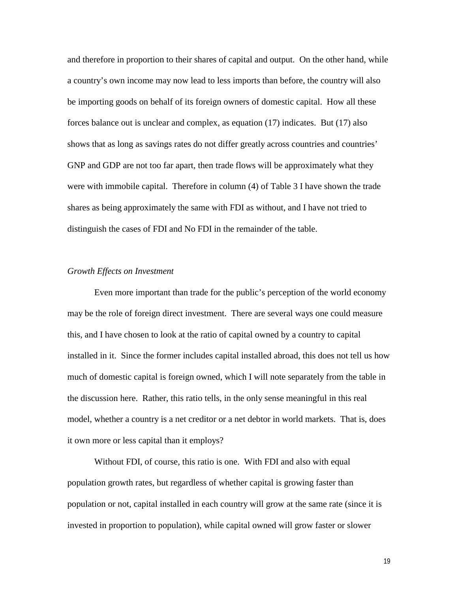and therefore in proportion to their shares of capital and output. On the other hand, while a country's own income may now lead to less imports than before, the country will also be importing goods on behalf of its foreign owners of domestic capital. How all these forces balance out is unclear and complex, as equation (17) indicates. But (17) also shows that as long as savings rates do not differ greatly across countries and countries' GNP and GDP are not too far apart, then trade flows will be approximately what they were with immobile capital. Therefore in column (4) of Table 3 I have shown the trade shares as being approximately the same with FDI as without, and I have not tried to distinguish the cases of FDI and No FDI in the remainder of the table.

#### *Growth Effects on Investment*

Even more important than trade for the public's perception of the world economy may be the role of foreign direct investment. There are several ways one could measure this, and I have chosen to look at the ratio of capital owned by a country to capital installed in it. Since the former includes capital installed abroad, this does not tell us how much of domestic capital is foreign owned, which I will note separately from the table in the discussion here. Rather, this ratio tells, in the only sense meaningful in this real model, whether a country is a net creditor or a net debtor in world markets. That is, does it own more or less capital than it employs?

Without FDI, of course, this ratio is one. With FDI and also with equal population growth rates, but regardless of whether capital is growing faster than population or not, capital installed in each country will grow at the same rate (since it is invested in proportion to population), while capital owned will grow faster or slower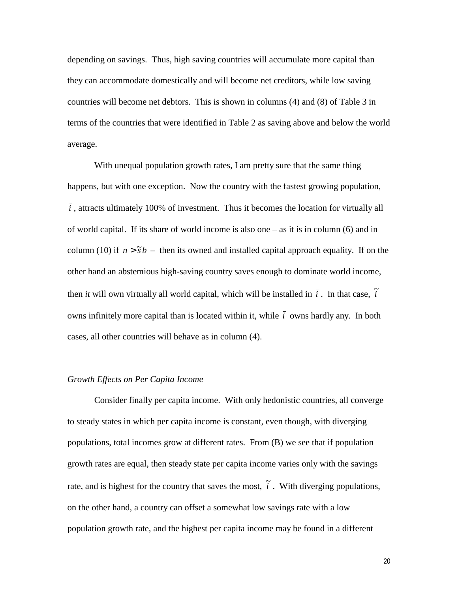depending on savings. Thus, high saving countries will accumulate more capital than they can accommodate domestically and will become net creditors, while low saving countries will become net debtors. This is shown in columns (4) and (8) of Table 3 in terms of the countries that were identified in Table 2 as saving above and below the world average.

With unequal population growth rates, I am pretty sure that the same thing happens, but with one exception. Now the country with the fastest growing population,  $\overline{i}$ , attracts ultimately 100% of investment. Thus it becomes the location for virtually all of world capital. If its share of world income is also one – as it is in column (6) and in column (10) if  $\bar{n} > \tilde{s}b$  – then its owned and installed capital approach equality. If on the other hand an abstemious high-saving country saves enough to dominate world income, then *it* will own virtually all world capital, which will be installed in  $\bar{i}$ . In that case,  $\tilde{i}$ owns infinitely more capital than is located within it, while  $\bar{i}$  owns hardly any. In both cases, all other countries will behave as in column (4).

#### *Growth Effects on Per Capita Income*

Consider finally per capita income. With only hedonistic countries, all converge to steady states in which per capita income is constant, even though, with diverging populations, total incomes grow at different rates. From (B) we see that if population growth rates are equal, then steady state per capita income varies only with the savings rate, and is highest for the country that saves the most,  $\tilde{i}$  . With diverging populations, on the other hand, a country can offset a somewhat low savings rate with a low population growth rate, and the highest per capita income may be found in a different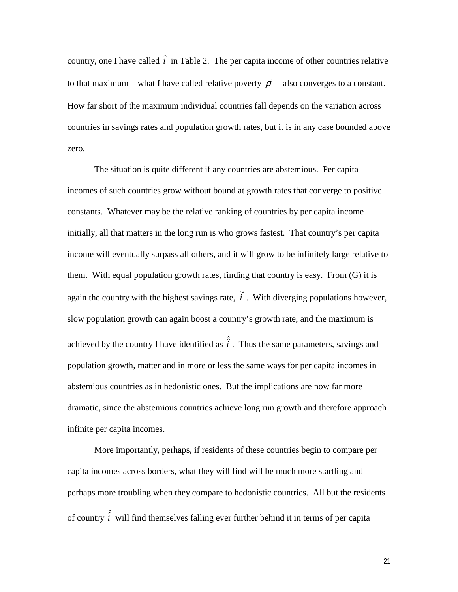country, one I have called  $\hat{i}$  in Table 2. The per capita income of other countries relative to that maximum – what I have called relative poverty  $\rho^i$  – also converges to a constant. How far short of the maximum individual countries fall depends on the variation across countries in savings rates and population growth rates, but it is in any case bounded above zero.

The situation is quite different if any countries are abstemious. Per capita incomes of such countries grow without bound at growth rates that converge to positive constants. Whatever may be the relative ranking of countries by per capita income initially, all that matters in the long run is who grows fastest. That country's per capita income will eventually surpass all others, and it will grow to be infinitely large relative to them. With equal population growth rates, finding that country is easy. From (G) it is again the country with the highest savings rate,  $\tilde{i}$  . With diverging populations however, slow population growth can again boost a country's growth rate, and the maximum is achieved by the country I have identified as  $\hat{i}$ . Thus the same parameters, savings and population growth, matter and in more or less the same ways for per capita incomes in abstemious countries as in hedonistic ones. But the implications are now far more dramatic, since the abstemious countries achieve long run growth and therefore approach infinite per capita incomes.

More importantly, perhaps, if residents of these countries begin to compare per capita incomes across borders, what they will find will be much more startling and perhaps more troubling when they compare to hedonistic countries. All but the residents of country  $\hat{i}$  will find themselves falling ever further behind it in terms of per capita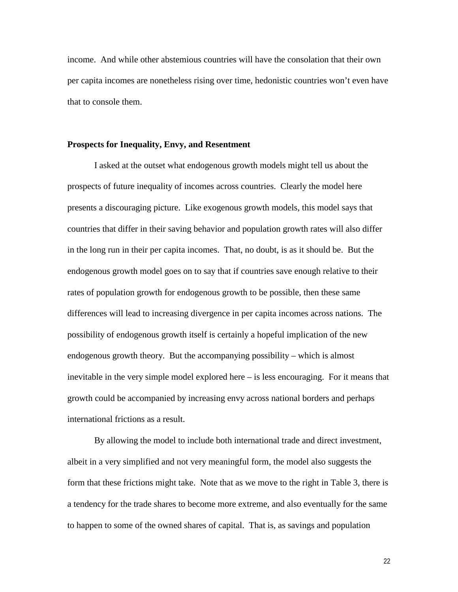income. And while other abstemious countries will have the consolation that their own per capita incomes are nonetheless rising over time, hedonistic countries won't even have that to console them.

#### **Prospects for Inequality, Envy, and Resentment**

I asked at the outset what endogenous growth models might tell us about the prospects of future inequality of incomes across countries. Clearly the model here presents a discouraging picture. Like exogenous growth models, this model says that countries that differ in their saving behavior and population growth rates will also differ in the long run in their per capita incomes. That, no doubt, is as it should be. But the endogenous growth model goes on to say that if countries save enough relative to their rates of population growth for endogenous growth to be possible, then these same differences will lead to increasing divergence in per capita incomes across nations. The possibility of endogenous growth itself is certainly a hopeful implication of the new endogenous growth theory. But the accompanying possibility – which is almost inevitable in the very simple model explored here – is less encouraging. For it means that growth could be accompanied by increasing envy across national borders and perhaps international frictions as a result.

By allowing the model to include both international trade and direct investment, albeit in a very simplified and not very meaningful form, the model also suggests the form that these frictions might take. Note that as we move to the right in Table 3, there is a tendency for the trade shares to become more extreme, and also eventually for the same to happen to some of the owned shares of capital. That is, as savings and population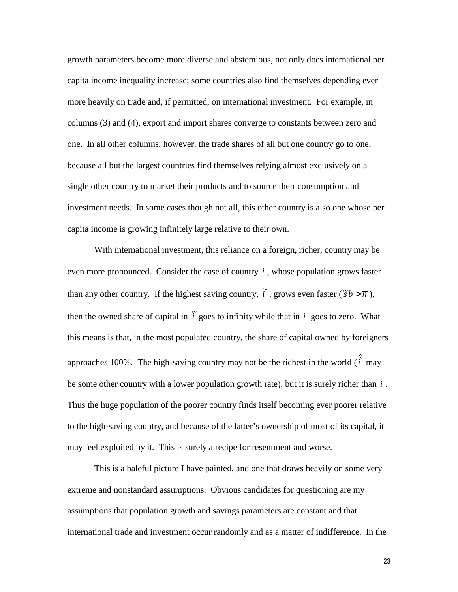growth parameters become more diverse and abstemious, not only does international per capita income inequality increase; some countries also find themselves depending ever more heavily on trade and, if permitted, on international investment. For example, in columns (3) and (4), export and import shares converge to constants between zero and one. In all other columns, however, the trade shares of all but one country go to one, because all but the largest countries find themselves relying almost exclusively on a single other country to market their products and to source their consumption and investment needs. In some cases though not all, this other country is also one whose per capita income is growing infinitely large relative to their own.

With international investment, this reliance on a foreign, richer, country may be even more pronounced. Consider the case of country  $\bar{i}$ , whose population grows faster than any other country. If the highest saving country,  $\tilde{i}$ , grows even faster ( $\tilde{s}b > \overline{n}$ ), then the owned share of capital in  $\tilde{i}$  goes to infinity while that in  $\tilde{i}$  goes to zero. What this means is that, in the most populated country, the share of capital owned by foreigners approaches 100%. The high-saving country may not be the richest in the world  $(\hat{i} \text{ may } )$ be some other country with a lower population growth rate), but it is surely richer than  $\bar{i}$ . Thus the huge population of the poorer country finds itself becoming ever poorer relative to the high-saving country, and because of the latter's ownership of most of its capital, it may feel exploited by it. This is surely a recipe for resentment and worse.

This is a baleful picture I have painted, and one that draws heavily on some very extreme and nonstandard assumptions. Obvious candidates for questioning are my assumptions that population growth and savings parameters are constant and that international trade and investment occur randomly and as a matter of indifference. In the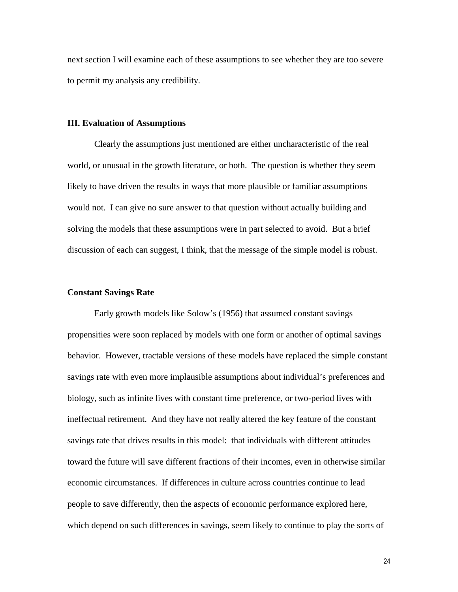next section I will examine each of these assumptions to see whether they are too severe to permit my analysis any credibility.

#### **III. Evaluation of Assumptions**

Clearly the assumptions just mentioned are either uncharacteristic of the real world, or unusual in the growth literature, or both. The question is whether they seem likely to have driven the results in ways that more plausible or familiar assumptions would not. I can give no sure answer to that question without actually building and solving the models that these assumptions were in part selected to avoid. But a brief discussion of each can suggest, I think, that the message of the simple model is robust.

#### **Constant Savings Rate**

Early growth models like Solow's (1956) that assumed constant savings propensities were soon replaced by models with one form or another of optimal savings behavior. However, tractable versions of these models have replaced the simple constant savings rate with even more implausible assumptions about individual's preferences and biology, such as infinite lives with constant time preference, or two-period lives with ineffectual retirement. And they have not really altered the key feature of the constant savings rate that drives results in this model: that individuals with different attitudes toward the future will save different fractions of their incomes, even in otherwise similar economic circumstances. If differences in culture across countries continue to lead people to save differently, then the aspects of economic performance explored here, which depend on such differences in savings, seem likely to continue to play the sorts of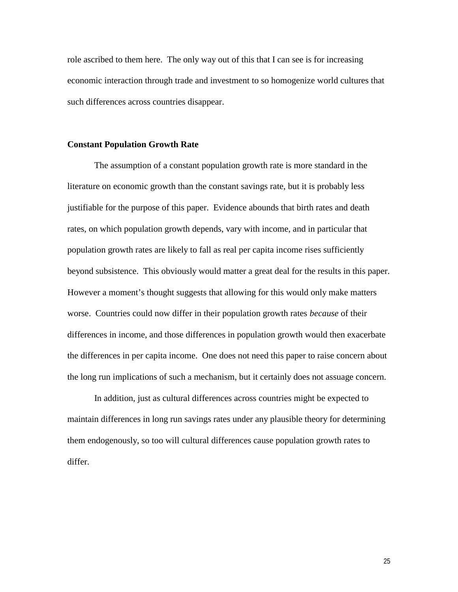role ascribed to them here. The only way out of this that I can see is for increasing economic interaction through trade and investment to so homogenize world cultures that such differences across countries disappear.

#### **Constant Population Growth Rate**

The assumption of a constant population growth rate is more standard in the literature on economic growth than the constant savings rate, but it is probably less justifiable for the purpose of this paper. Evidence abounds that birth rates and death rates, on which population growth depends, vary with income, and in particular that population growth rates are likely to fall as real per capita income rises sufficiently beyond subsistence. This obviously would matter a great deal for the results in this paper. However a moment's thought suggests that allowing for this would only make matters worse. Countries could now differ in their population growth rates *because* of their differences in income, and those differences in population growth would then exacerbate the differences in per capita income. One does not need this paper to raise concern about the long run implications of such a mechanism, but it certainly does not assuage concern.

In addition, just as cultural differences across countries might be expected to maintain differences in long run savings rates under any plausible theory for determining them endogenously, so too will cultural differences cause population growth rates to differ.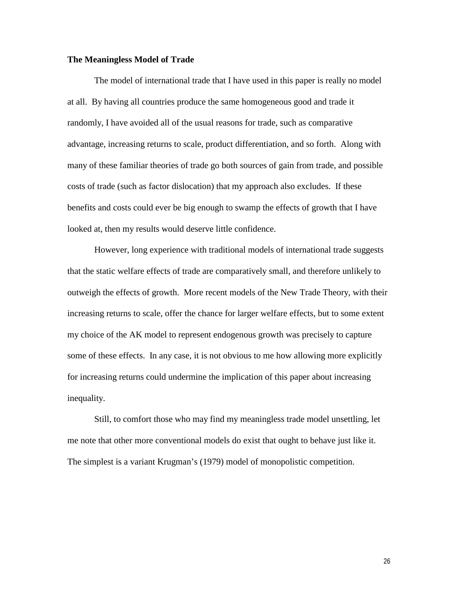#### **The Meaningless Model of Trade**

The model of international trade that I have used in this paper is really no model at all. By having all countries produce the same homogeneous good and trade it randomly, I have avoided all of the usual reasons for trade, such as comparative advantage, increasing returns to scale, product differentiation, and so forth. Along with many of these familiar theories of trade go both sources of gain from trade, and possible costs of trade (such as factor dislocation) that my approach also excludes. If these benefits and costs could ever be big enough to swamp the effects of growth that I have looked at, then my results would deserve little confidence.

However, long experience with traditional models of international trade suggests that the static welfare effects of trade are comparatively small, and therefore unlikely to outweigh the effects of growth. More recent models of the New Trade Theory, with their increasing returns to scale, offer the chance for larger welfare effects, but to some extent my choice of the AK model to represent endogenous growth was precisely to capture some of these effects. In any case, it is not obvious to me how allowing more explicitly for increasing returns could undermine the implication of this paper about increasing inequality.

Still, to comfort those who may find my meaningless trade model unsettling, let me note that other more conventional models do exist that ought to behave just like it. The simplest is a variant Krugman's (1979) model of monopolistic competition.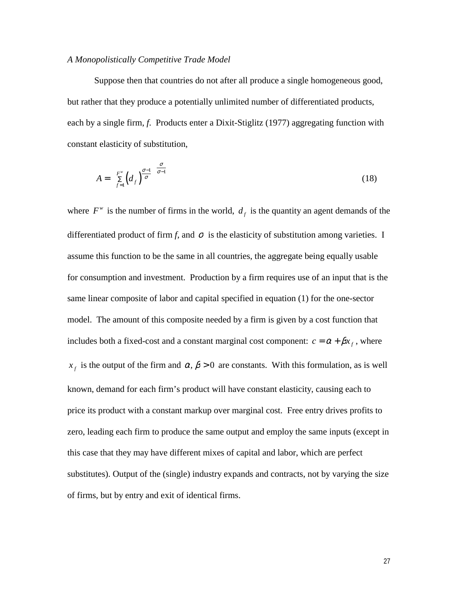#### *A Monopolistically Competitive Trade Model*

Suppose then that countries do not after all produce a single homogeneous good, but rather that they produce a potentially unlimited number of differentiated products, each by a single firm, *f*. Products enter a Dixit-Stiglitz (1977) aggregating function with constant elasticity of substitution,

$$
A = \left(\sum_{f=1}^{F^w} \left(d_f\right)^{\frac{\sigma-1}{\sigma}}\right)^{\frac{\sigma}{\sigma-1}}
$$
\n(18)

where  $F^w$  is the number of firms in the world,  $d_f$  is the quantity an agent demands of the differentiated product of firm *f*, and  $\sigma$  is the elasticity of substitution among varieties. I assume this function to be the same in all countries, the aggregate being equally usable for consumption and investment. Production by a firm requires use of an input that is the same linear composite of labor and capital specified in equation (1) for the one-sector model. The amount of this composite needed by a firm is given by a cost function that includes both a fixed-cost and a constant marginal cost component:  $c = \alpha + \beta x_f$ , where  $x_f$  is the output of the firm and  $\alpha$ ,  $\beta > 0$  are constants. With this formulation, as is well known, demand for each firm's product will have constant elasticity, causing each to price its product with a constant markup over marginal cost. Free entry drives profits to zero, leading each firm to produce the same output and employ the same inputs (except in this case that they may have different mixes of capital and labor, which are perfect substitutes). Output of the (single) industry expands and contracts, not by varying the size of firms, but by entry and exit of identical firms.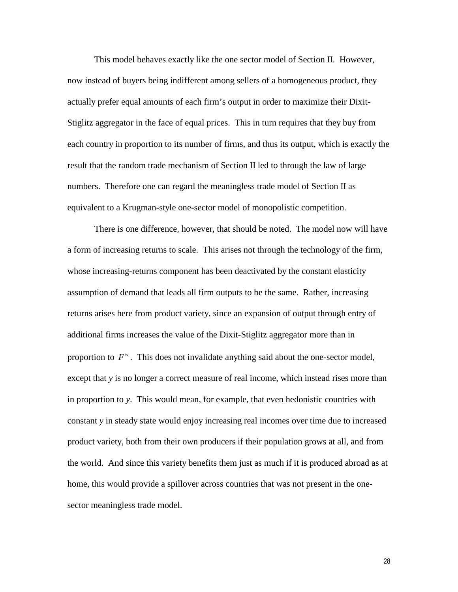This model behaves exactly like the one sector model of Section II. However, now instead of buyers being indifferent among sellers of a homogeneous product, they actually prefer equal amounts of each firm's output in order to maximize their Dixit-Stiglitz aggregator in the face of equal prices. This in turn requires that they buy from each country in proportion to its number of firms, and thus its output, which is exactly the result that the random trade mechanism of Section II led to through the law of large numbers. Therefore one can regard the meaningless trade model of Section II as equivalent to a Krugman-style one-sector model of monopolistic competition.

There is one difference, however, that should be noted. The model now will have a form of increasing returns to scale. This arises not through the technology of the firm, whose increasing-returns component has been deactivated by the constant elasticity assumption of demand that leads all firm outputs to be the same. Rather, increasing returns arises here from product variety, since an expansion of output through entry of additional firms increases the value of the Dixit-Stiglitz aggregator more than in proportion to  $F^{\nu}$ . This does not invalidate anything said about the one-sector model, except that *y* is no longer a correct measure of real income, which instead rises more than in proportion to *y*. This would mean, for example, that even hedonistic countries with constant *y* in steady state would enjoy increasing real incomes over time due to increased product variety, both from their own producers if their population grows at all, and from the world. And since this variety benefits them just as much if it is produced abroad as at home, this would provide a spillover across countries that was not present in the onesector meaningless trade model.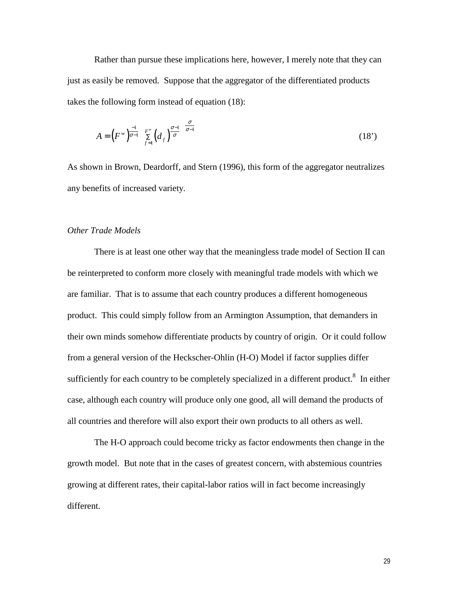Rather than pursue these implications here, however, I merely note that they can just as easily be removed. Suppose that the aggregator of the differentiated products takes the following form instead of equation (18):

$$
A = \left(F^w\right)^{\frac{-1}{\sigma-1}} \left(\sum_{f=1}^{F^w} \left(d_f\right)^{\frac{\sigma-1}{\sigma}}\right)^{\frac{\sigma}{\sigma-1}}
$$
\n(18')

As shown in Brown, Deardorff, and Stern (1996), this form of the aggregator neutralizes any benefits of increased variety.

#### *Other Trade Models*

There is at least one other way that the meaningless trade model of Section II can be reinterpreted to conform more closely with meaningful trade models with which we are familiar. That is to assume that each country produces a different homogeneous product. This could simply follow from an Armington Assumption, that demanders in their own minds somehow differentiate products by country of origin. Or it could follow from a general version of the Heckscher-Ohlin (H-O) Model if factor supplies differ sufficiently for each country to be completely specialized in a different product. $8\,$  In either case, although each country will produce only one good, all will demand the products of all countries and therefore will also export their own products to all others as well.

The H-O approach could become tricky as factor endowments then change in the growth model. But note that in the cases of greatest concern, with abstemious countries growing at different rates, their capital-labor ratios will in fact become increasingly different.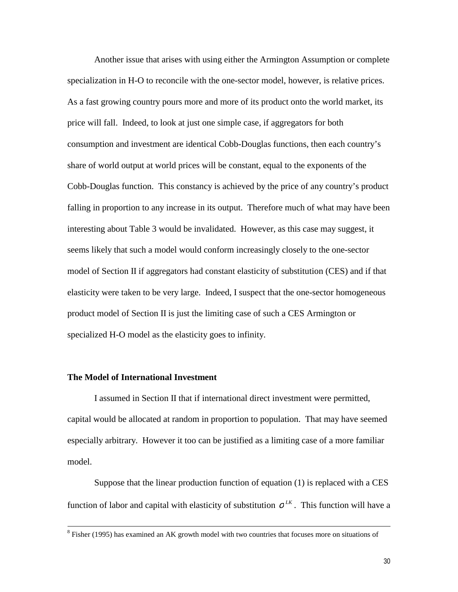Another issue that arises with using either the Armington Assumption or complete specialization in H-O to reconcile with the one-sector model, however, is relative prices. As a fast growing country pours more and more of its product onto the world market, its price will fall. Indeed, to look at just one simple case, if aggregators for both consumption and investment are identical Cobb-Douglas functions, then each country's share of world output at world prices will be constant, equal to the exponents of the Cobb-Douglas function. This constancy is achieved by the price of any country's product falling in proportion to any increase in its output. Therefore much of what may have been interesting about Table 3 would be invalidated. However, as this case may suggest, it seems likely that such a model would conform increasingly closely to the one-sector model of Section II if aggregators had constant elasticity of substitution (CES) and if that elasticity were taken to be very large. Indeed, I suspect that the one-sector homogeneous product model of Section II is just the limiting case of such a CES Armington or specialized H-O model as the elasticity goes to infinity.

#### **The Model of International Investment**

I assumed in Section II that if international direct investment were permitted, capital would be allocated at random in proportion to population. That may have seemed especially arbitrary. However it too can be justified as a limiting case of a more familiar model.

Suppose that the linear production function of equation (1) is replaced with a CES function of labor and capital with elasticity of substitution  $\sigma^{LK}$ . This function will have a

 <sup>8</sup>  ${}^{8}$  Fisher (1995) has examined an AK growth model with two countries that focuses more on situations of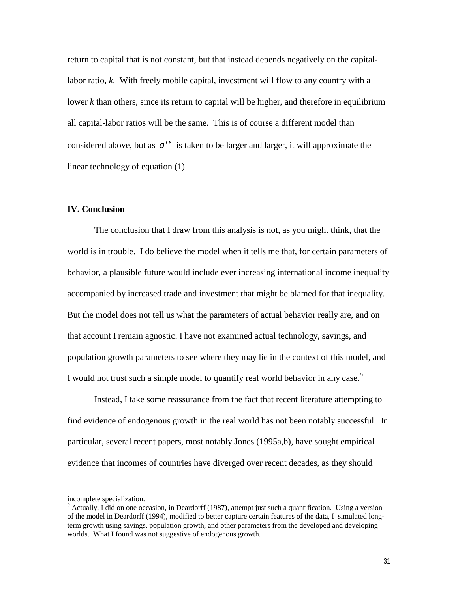return to capital that is not constant, but that instead depends negatively on the capitallabor ratio, *k*. With freely mobile capital, investment will flow to any country with a lower *k* than others, since its return to capital will be higher, and therefore in equilibrium all capital-labor ratios will be the same. This is of course a different model than considered above, but as  $\sigma^{LK}$  is taken to be larger and larger, it will approximate the linear technology of equation (1).

#### **IV. Conclusion**

The conclusion that I draw from this analysis is not, as you might think, that the world is in trouble. I do believe the model when it tells me that, for certain parameters of behavior, a plausible future would include ever increasing international income inequality accompanied by increased trade and investment that might be blamed for that inequality. But the model does not tell us what the parameters of actual behavior really are, and on that account I remain agnostic. I have not examined actual technology, savings, and population growth parameters to see where they may lie in the context of this model, and I would not trust such a simple model to quantify real world behavior in any case.<sup>9</sup>

Instead, I take some reassurance from the fact that recent literature attempting to find evidence of endogenous growth in the real world has not been notably successful. In particular, several recent papers, most notably Jones (1995a,b), have sought empirical evidence that incomes of countries have diverged over recent decades, as they should

 $\overline{a}$ 

incomplete specialization.

<sup>&</sup>lt;sup>9</sup> Actually, I did on one occasion, in Deardorff (1987), attempt just such a quantification. Using a version of the model in Deardorff (1994), modified to better capture certain features of the data, I simulated longterm growth using savings, population growth, and other parameters from the developed and developing worlds. What I found was not suggestive of endogenous growth.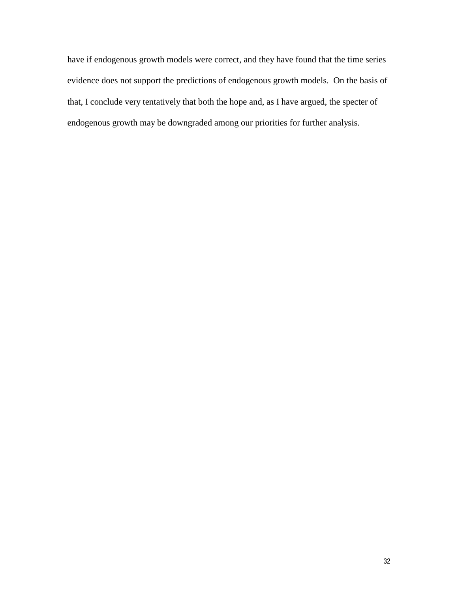have if endogenous growth models were correct, and they have found that the time series evidence does not support the predictions of endogenous growth models. On the basis of that, I conclude very tentatively that both the hope and, as I have argued, the specter of endogenous growth may be downgraded among our priorities for further analysis.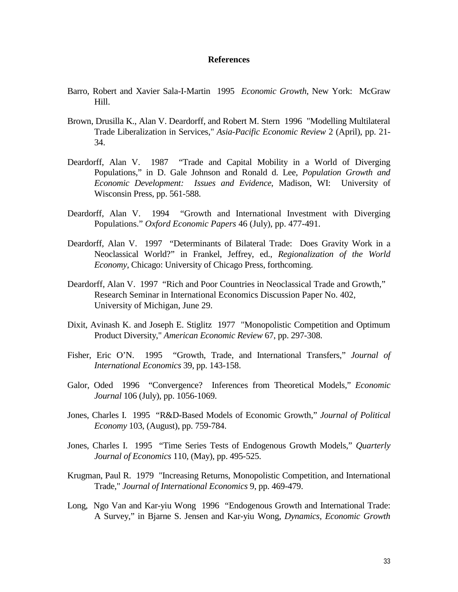#### **References**

- Barro, Robert and Xavier Sala-I-Martin 1995 *Economic Growth*, New York: McGraw Hill.
- Brown, Drusilla K., Alan V. Deardorff, and Robert M. Stern 1996 "Modelling Multilateral Trade Liberalization in Services," *Asia-Pacific Economic Review* 2 (April), pp. 21- 34.
- Deardorff, Alan V. 1987 "Trade and Capital Mobility in a World of Diverging Populations," in D. Gale Johnson and Ronald d. Lee, *Population Growth and Economic Development: Issues and Evidence*, Madison, WI: University of Wisconsin Press, pp. 561-588.
- Deardorff, Alan V. 1994 "Growth and International Investment with Diverging Populations." *Oxford Economic Papers* 46 (July), pp. 477-491.
- Deardorff, Alan V. 1997 "Determinants of Bilateral Trade: Does Gravity Work in a Neoclassical World?" in Frankel, Jeffrey, ed., *Regionalization of the World Economy*, Chicago: University of Chicago Press, forthcoming.
- Deardorff, Alan V. 1997 "Rich and Poor Countries in Neoclassical Trade and Growth," Research Seminar in International Economics Discussion Paper No. 402, University of Michigan, June 29.
- Dixit, Avinash K. and Joseph E. Stiglitz 1977 "Monopolistic Competition and Optimum Product Diversity," *American Economic Review* 67, pp. 297-308.
- Fisher, Eric O'N. 1995 "Growth, Trade, and International Transfers," *Journal of International Economics* 39, pp. 143-158.
- Galor, Oded 1996 "Convergence? Inferences from Theoretical Models," *Economic Journal* 106 (July), pp. 1056-1069.
- Jones, Charles I. 1995 "R&D-Based Models of Economic Growth," *Journal of Political Economy* 103, (August), pp. 759-784.
- Jones, Charles I. 1995 "Time Series Tests of Endogenous Growth Models," *Quarterly Journal of Economics* 110, (May), pp. 495-525.
- Krugman, Paul R. 1979 "Increasing Returns, Monopolistic Competition, and International Trade," *Journal of International Economics* 9, pp. 469-479.
- Long, Ngo Van and Kar-yiu Wong 1996 "Endogenous Growth and International Trade: A Survey," in Bjarne S. Jensen and Kar-yiu Wong, *Dynamics, Economic Growth*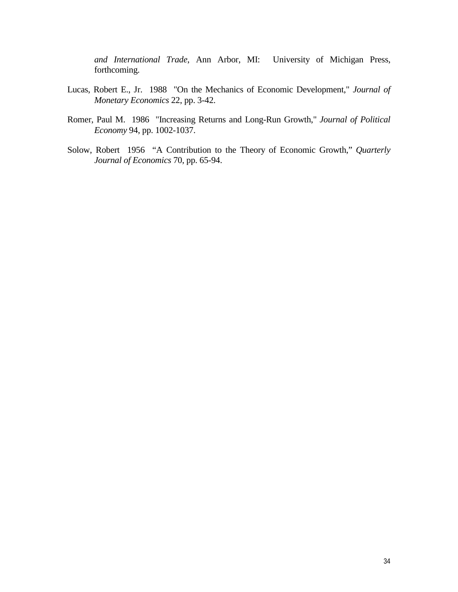*and International Trade*, Ann Arbor, MI: University of Michigan Press, forthcoming.

- Lucas, Robert E., Jr. 1988 "On the Mechanics of Economic Development," *Journal of Monetary Economics* 22, pp. 3-42.
- Romer, Paul M. 1986 "Increasing Returns and Long-Run Growth," *Journal of Political Economy* 94, pp. 1002-1037.
- Solow, Robert 1956 "A Contribution to the Theory of Economic Growth," *Quarterly Journal of Economics* 70, pp. 65-94.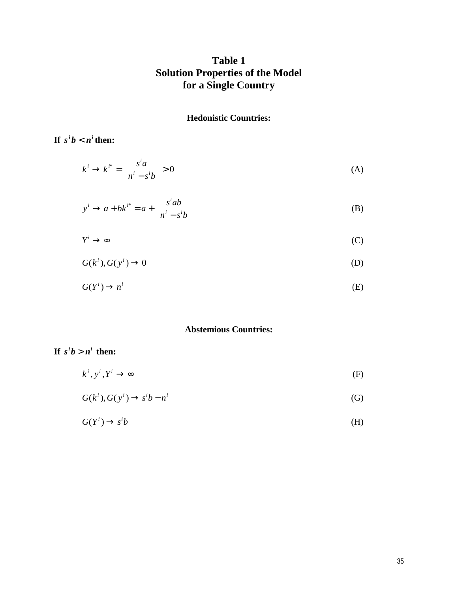## **Table 1 Solution Properties of the Model for a Single Country**

### **Hedonistic Countries:**

**If**  $s^i b < n^i$  then:

$$
k^i \to k^{i^*} = \left(\frac{s^i a}{n^i - s^i b}\right) > 0\tag{A}
$$

$$
y^{i} \to a + bk^{i*} = a + \left(\frac{s^{i}ab}{n^{i} - s^{i}b}\right)
$$
 (B)

$$
Y^i \to \infty
$$
 (C)

$$
G(k^i), G(y^i) \to 0 \tag{D}
$$

$$
G(Y^i) \to n^i \tag{E}
$$

#### **Abstemious Countries:**

## **If**  $s^i b > n^i$  then:

 $k^i, y^i, Y^i \to \infty$  (F)

$$
G(ki), G(yi) \to sib - ni
$$
 (G)

$$
G(Y^i) \to s^i b \tag{H}
$$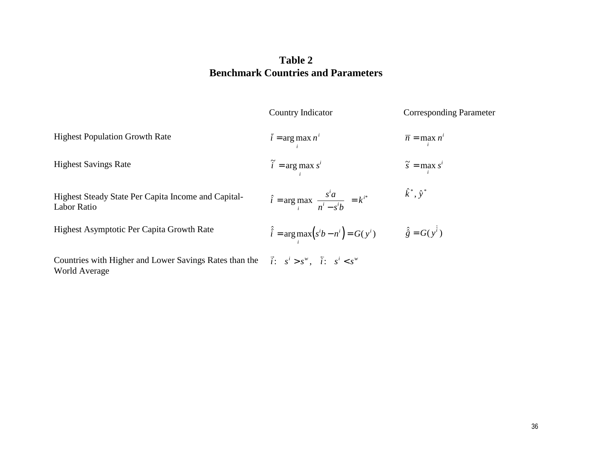## **Table 2Benchmark Countries and Parameters**

Country Indicator Corresponding Parameter Highest Population Growth Rate *i <sup>n</sup> i* $\overline{n} = \max_{i} n$  $\overline{n}$  = max  $n^i$ Highest Savings Rate *i* $=$  arg max  $s^i$  $\widetilde{s} = \max_{i} s$  $=$  max  $s^i$ Highest Steady State Per Capita Income and Capitaleady State Per Capita Income and Capital-<br>o  $\hat{i} = \arg \max_{i} \left( \frac{s a}{n^i - s^i b} \right) = k^{i*}$ *i i i*  $=\arg \max_{i} \left( \frac{s}{n^{i} - s^{i}b} \right) = k^{i}$  $\left(\frac{s^i a}{n^i - s^i b}\right) = k^{i^*}$   $\hat{k}^*, \hat{y}^*$ Highest Asymptotic Per Capita Growth Rate  $\hat{i} = \arg \max_{i} (s^{i}b - n^{i}) = G(y^{i})$   $\hat{g} = G(y^{\hat{i}})$ Countries with Higher and Lower Savings Rates than the  $\vec{i}: s^i > s^w, \vec{i}: s^i < s^w$ 

Labor Ratio

World Average